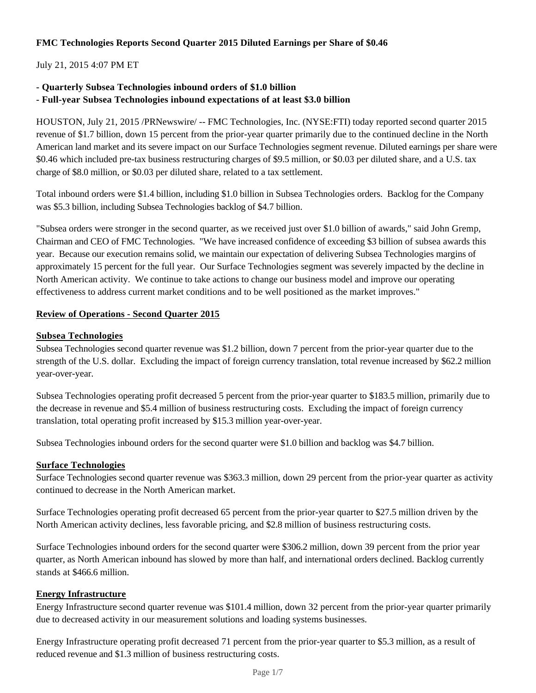## **FMC Technologies Reports Second Quarter 2015 Diluted Earnings per Share of \$0.46**

### July 21, 2015 4:07 PM ET

### **- Quarterly Subsea Technologies inbound orders of \$1.0 billion**

#### **- Full-year Subsea Technologies inbound expectations of at least \$3.0 billion**

HOUSTON, July 21, 2015 /PRNewswire/ -- FMC Technologies, Inc. (NYSE:FTI) today reported second quarter 2015 revenue of \$1.7 billion, down 15 percent from the prior-year quarter primarily due to the continued decline in the North American land market and its severe impact on our Surface Technologies segment revenue. Diluted earnings per share were \$0.46 which included pre-tax business restructuring charges of \$9.5 million, or \$0.03 per diluted share, and a U.S. tax charge of \$8.0 million, or \$0.03 per diluted share, related to a tax settlement.

Total inbound orders were \$1.4 billion, including \$1.0 billion in Subsea Technologies orders. Backlog for the Company was \$5.3 billion, including Subsea Technologies backlog of \$4.7 billion.

"Subsea orders were stronger in the second quarter, as we received just over \$1.0 billion of awards," said John Gremp, Chairman and CEO of FMC Technologies. "We have increased confidence of exceeding \$3 billion of subsea awards this year. Because our execution remains solid, we maintain our expectation of delivering Subsea Technologies margins of approximately 15 percent for the full year. Our Surface Technologies segment was severely impacted by the decline in North American activity. We continue to take actions to change our business model and improve our operating effectiveness to address current market conditions and to be well positioned as the market improves."

#### **Review of Operations - Second Quarter 2015**

#### **Subsea Technologies**

Subsea Technologies second quarter revenue was \$1.2 billion, down 7 percent from the prior-year quarter due to the strength of the U.S. dollar. Excluding the impact of foreign currency translation, total revenue increased by \$62.2 million year-over-year.

Subsea Technologies operating profit decreased 5 percent from the prior-year quarter to \$183.5 million, primarily due to the decrease in revenue and \$5.4 million of business restructuring costs. Excluding the impact of foreign currency translation, total operating profit increased by \$15.3 million year-over-year.

Subsea Technologies inbound orders for the second quarter were \$1.0 billion and backlog was \$4.7 billion.

#### **Surface Technologies**

Surface Technologies second quarter revenue was \$363.3 million, down 29 percent from the prior-year quarter as activity continued to decrease in the North American market.

Surface Technologies operating profit decreased 65 percent from the prior-year quarter to \$27.5 million driven by the North American activity declines, less favorable pricing, and \$2.8 million of business restructuring costs.

Surface Technologies inbound orders for the second quarter were \$306.2 million, down 39 percent from the prior year quarter, as North American inbound has slowed by more than half, and international orders declined. Backlog currently stands at \$466.6 million.

#### **Energy Infrastructure**

Energy Infrastructure second quarter revenue was \$101.4 million, down 32 percent from the prior-year quarter primarily due to decreased activity in our measurement solutions and loading systems businesses.

Energy Infrastructure operating profit decreased 71 percent from the prior-year quarter to \$5.3 million, as a result of reduced revenue and \$1.3 million of business restructuring costs.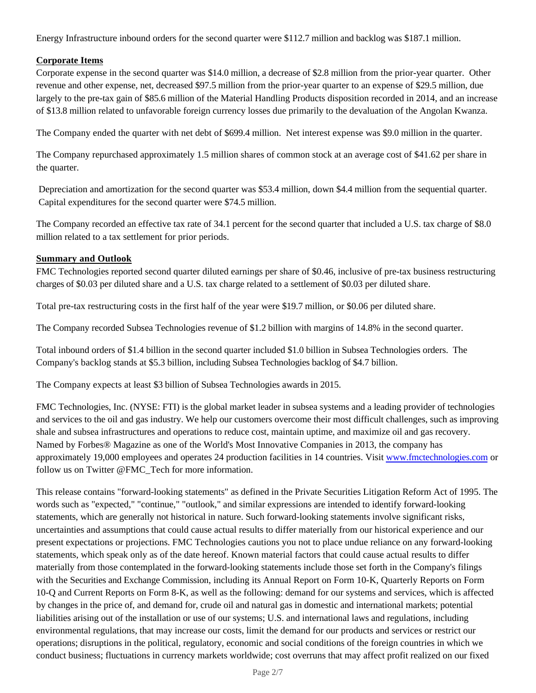Energy Infrastructure inbound orders for the second quarter were \$112.7 million and backlog was \$187.1 million.

## **Corporate Items**

Corporate expense in the second quarter was \$14.0 million, a decrease of \$2.8 million from the prior-year quarter. Other revenue and other expense, net, decreased \$97.5 million from the prior-year quarter to an expense of \$29.5 million, due largely to the pre-tax gain of \$85.6 million of the Material Handling Products disposition recorded in 2014, and an increase of \$13.8 million related to unfavorable foreign currency losses due primarily to the devaluation of the Angolan Kwanza.

The Company ended the quarter with net debt of \$699.4 million. Net interest expense was \$9.0 million in the quarter.

The Company repurchased approximately 1.5 million shares of common stock at an average cost of \$41.62 per share in the quarter.

 Depreciation and amortization for the second quarter was \$53.4 million, down \$4.4 million from the sequential quarter. Capital expenditures for the second quarter were \$74.5 million.

The Company recorded an effective tax rate of 34.1 percent for the second quarter that included a U.S. tax charge of \$8.0 million related to a tax settlement for prior periods.

## **Summary and Outlook**

FMC Technologies reported second quarter diluted earnings per share of \$0.46, inclusive of pre-tax business restructuring charges of \$0.03 per diluted share and a U.S. tax charge related to a settlement of \$0.03 per diluted share.

Total pre-tax restructuring costs in the first half of the year were \$19.7 million, or \$0.06 per diluted share.

The Company recorded Subsea Technologies revenue of \$1.2 billion with margins of 14.8% in the second quarter.

Total inbound orders of \$1.4 billion in the second quarter included \$1.0 billion in Subsea Technologies orders. The Company's backlog stands at \$5.3 billion, including Subsea Technologies backlog of \$4.7 billion.

The Company expects at least \$3 billion of Subsea Technologies awards in 2015.

FMC Technologies, Inc. (NYSE: FTI) is the global market leader in subsea systems and a leading provider of technologies and services to the oil and gas industry. We help our customers overcome their most difficult challenges, such as improving shale and subsea infrastructures and operations to reduce cost, maintain uptime, and maximize oil and gas recovery. Named by Forbes® Magazine as one of the World's Most Innovative Companies in 2013, the company has approximately 19,000 employees and operates 24 production facilities in 14 countries. Visit www.fmctechnologies.com or follow us on Twitter @FMC\_Tech for more information.

This release contains "forward-looking statements" as defined in the Private Securities Litigation Reform Act of 1995. The words such as "expected," "continue," "outlook," and similar expressions are intended to identify forward-looking statements, which are generally not historical in nature. Such forward-looking statements involve significant risks, uncertainties and assumptions that could cause actual results to differ materially from our historical experience and our present expectations or projections. FMC Technologies cautions you not to place undue reliance on any forward-looking statements, which speak only as of the date hereof. Known material factors that could cause actual results to differ materially from those contemplated in the forward-looking statements include those set forth in the Company's filings with the Securities and Exchange Commission, including its Annual Report on Form 10-K, Quarterly Reports on Form 10-Q and Current Reports on Form 8-K, as well as the following: demand for our systems and services, which is affected by changes in the price of, and demand for, crude oil and natural gas in domestic and international markets; potential liabilities arising out of the installation or use of our systems; U.S. and international laws and regulations, including environmental regulations, that may increase our costs, limit the demand for our products and services or restrict our operations; disruptions in the political, regulatory, economic and social conditions of the foreign countries in which we conduct business; fluctuations in currency markets worldwide; cost overruns that may affect profit realized on our fixed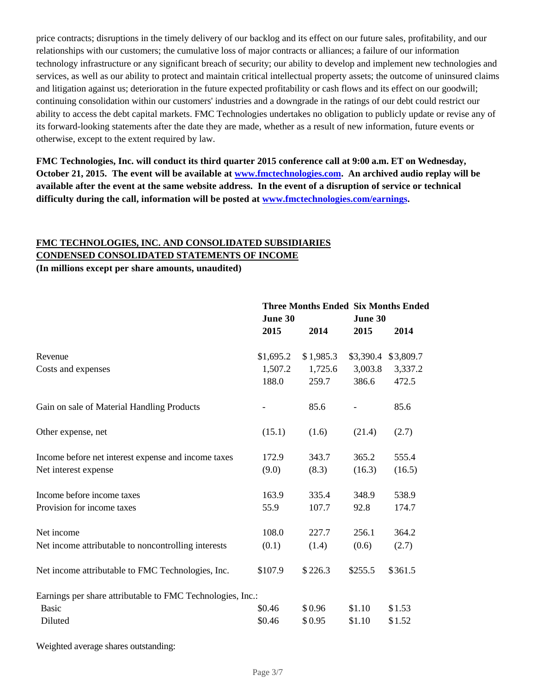price contracts; disruptions in the timely delivery of our backlog and its effect on our future sales, profitability, and our relationships with our customers; the cumulative loss of major contracts or alliances; a failure of our information technology infrastructure or any significant breach of security; our ability to develop and implement new technologies and services, as well as our ability to protect and maintain critical intellectual property assets; the outcome of uninsured claims and litigation against us; deterioration in the future expected profitability or cash flows and its effect on our goodwill; continuing consolidation within our customers' industries and a downgrade in the ratings of our debt could restrict our ability to access the debt capital markets. FMC Technologies undertakes no obligation to publicly update or revise any of its forward-looking statements after the date they are made, whether as a result of new information, future events or otherwise, except to the extent required by law.

**FMC Technologies, Inc. will conduct its third quarter 2015 conference call at 9:00 a.m. ET on Wednesday, October 21, 2015. The event will be available at www.fmctechnologies.com. An archived audio replay will be available after the event at the same website address. In the event of a disruption of service or technical difficulty during the call, information will be posted at www.fmctechnologies.com/earnings.**

## **FMC TECHNOLOGIES, INC. AND CONSOLIDATED SUBSIDIARIES CONDENSED CONSOLIDATED STATEMENTS OF INCOME**

**(In millions except per share amounts, unaudited)**

|                                                            | <b>Three Months Ended Six Months Ended</b> |           |           |           |
|------------------------------------------------------------|--------------------------------------------|-----------|-----------|-----------|
|                                                            | June 30                                    |           | June 30   |           |
|                                                            | 2015                                       | 2014      | 2015      | 2014      |
| Revenue                                                    | \$1,695.2                                  | \$1,985.3 | \$3,390.4 | \$3,809.7 |
| Costs and expenses                                         | 1,507.2                                    | 1,725.6   | 3,003.8   | 3,337.2   |
|                                                            | 188.0                                      | 259.7     | 386.6     | 472.5     |
| Gain on sale of Material Handling Products                 |                                            | 85.6      |           | 85.6      |
| Other expense, net                                         | (15.1)                                     | (1.6)     | (21.4)    | (2.7)     |
| Income before net interest expense and income taxes        | 172.9                                      | 343.7     | 365.2     | 555.4     |
| Net interest expense                                       | (9.0)                                      | (8.3)     | (16.3)    | (16.5)    |
| Income before income taxes                                 | 163.9                                      | 335.4     | 348.9     | 538.9     |
| Provision for income taxes                                 | 55.9                                       | 107.7     | 92.8      | 174.7     |
| Net income                                                 | 108.0                                      | 227.7     | 256.1     | 364.2     |
| Net income attributable to noncontrolling interests        | (0.1)                                      | (1.4)     | (0.6)     | (2.7)     |
| Net income attributable to FMC Technologies, Inc.          | \$107.9                                    | \$226.3   | \$255.5   | \$361.5   |
| Earnings per share attributable to FMC Technologies, Inc.: |                                            |           |           |           |
| <b>Basic</b>                                               | \$0.46                                     | \$0.96    | \$1.10    | \$1.53    |
| Diluted                                                    | \$0.46                                     | \$0.95    | \$1.10    | \$1.52    |

Weighted average shares outstanding: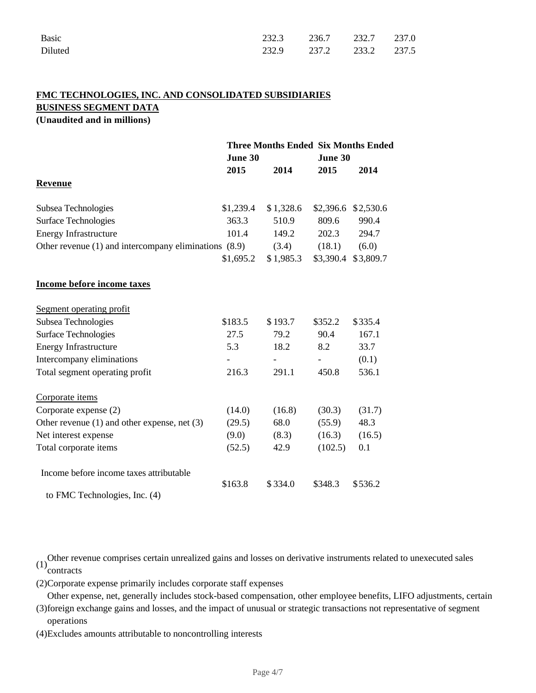| Basic   | 232.3 236.7 232.7 237.0 |  |  |
|---------|-------------------------|--|--|
| Diluted | 232.9 237.2 233.2 237.5 |  |  |

## **FMC TECHNOLOGIES, INC. AND CONSOLIDATED SUBSIDIARIES BUSINESS SEGMENT DATA (Unaudited and in millions)**

**Three Months Ended Six Months Ended June 30 June 30 2015 2014 2015 2014 Revenue** Subsea Technologies  $$1,239.4 \quad $1,328.6 \quad $2,396.6 \quad $2,530.6$ Surface Technologies 363.3 510.9 809.6 990.4 Energy Infrastructure 101.4 149.2 202.3 294.7 Other revenue (1) and intercompany eliminations  $(8.9)$   $(3.4)$   $(18.1)$   $(6.0)$ \$1,695.2 \$ 1,985.3 \$3,390.4 \$3,809.7 **Income before income taxes** Segment operating profit Subsea Technologies  $$183.5$   $$193.7$   $$352.2$   $$335.4$ Surface Technologies 27.5 79.2 90.4 167.1 Energy Infrastructure 5.3 18.2 8.2 33.7 Intercompany eliminations  $\qquad \qquad \qquad \qquad \qquad \qquad (0.1)$ Total segment operating profit 216.3 291.1 450.8 536.1 Corporate items Corporate expense (2) (14.0) (16.8) (30.3) (31.7) Other revenue (1) and other expense, net (3) (29.5) 68.0 (55.9) 48.3 Net interest expense (9.0) (8.3) (16.3) (16.5) Total corporate items (52.5) 42.9 (102.5) 0.1 Income before income taxes attributable to FMC Technologies, Inc. (4) \$163.8 \$ 334.0 \$348.3 \$536.2

Other revenue comprises certain unrealized gains and losses on derivative instruments related to unexecuted sales  $(1)$  contracts

(2)Corporate expense primarily includes corporate staff expenses

(3) foreign exchange gains and losses, and the impact of unusual or strategic transactions not representative of segment Other expense, net, generally includes stock-based compensation, other employee benefits, LIFO adjustments, certain

operations

(4)Excludes amounts attributable to noncontrolling interests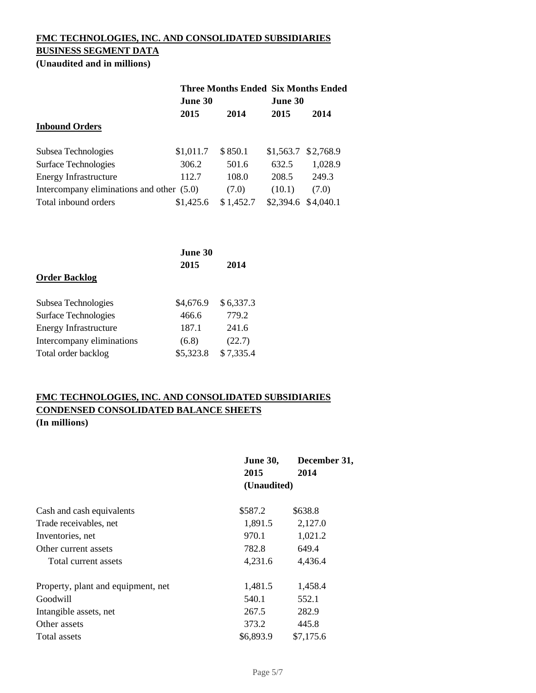# **FMC TECHNOLOGIES, INC. AND CONSOLIDATED SUBSIDIARIES BUSINESS SEGMENT DATA**

**(Unaudited and in millions)**

| June 30                                   |           |           |                                                                    |
|-------------------------------------------|-----------|-----------|--------------------------------------------------------------------|
| 2015                                      | 2014      | 2015      | 2014                                                               |
|                                           |           |           |                                                                    |
| \$1,011.7                                 | \$850.1   |           | \$2,768.9                                                          |
| 306.2                                     | 501.6     | 632.5     | 1,028.9                                                            |
| 112.7                                     | 108.0     | 208.5     | 249.3                                                              |
| Intercompany eliminations and other (5.0) | (7.0)     | (10.1)    | (7.0)                                                              |
| \$1,425.6                                 | \$1,452.7 | \$2,394.6 | \$4,040.1                                                          |
|                                           |           |           | <b>Three Months Ended Six Months Ended</b><br>June 30<br>\$1,563.7 |

|                              | June 30   |           |  |
|------------------------------|-----------|-----------|--|
|                              | 2015      | 2014      |  |
| <b>Order Backlog</b>         |           |           |  |
| Subsea Technologies          | \$4,676.9 | \$6,337.3 |  |
| <b>Surface Technologies</b>  | 466.6     | 779.2     |  |
| <b>Energy Infrastructure</b> | 187.1     | 241.6     |  |
| Intercompany eliminations    | (6.8)     | (22.7)    |  |
| Total order backlog          | \$5,323.8 | \$7,335.4 |  |

## **FMC TECHNOLOGIES, INC. AND CONSOLIDATED SUBSIDIARIES CONDENSED CONSOLIDATED BALANCE SHEETS (In millions)**

|                                    | <b>June 30,</b><br>2015<br>(Unaudited) | December 31,<br>2014 |
|------------------------------------|----------------------------------------|----------------------|
|                                    |                                        |                      |
| Cash and cash equivalents          | \$587.2                                | \$638.8              |
| Trade receivables, net             | 1,891.5                                | 2,127.0              |
| Inventories, net                   | 970.1                                  | 1,021.2              |
| Other current assets               | 782.8                                  | 649.4                |
| Total current assets               | 4,231.6                                | 4,436.4              |
| Property, plant and equipment, net | 1,481.5                                | 1,458.4              |
| Goodwill                           | 540.1                                  | 552.1                |
| Intangible assets, net             | 267.5                                  | 282.9                |
| Other assets                       | 373.2                                  | 445.8                |
| Total assets                       | \$6,893.9                              | \$7,175.6            |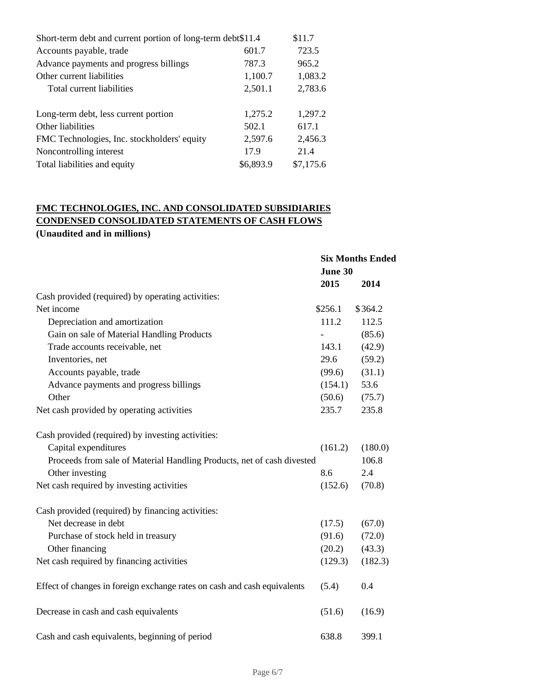| Short-term debt and current portion of long-term debt\$11.4 |           |           |
|-------------------------------------------------------------|-----------|-----------|
| Accounts payable, trade                                     | 601.7     | 723.5     |
| Advance payments and progress billings                      | 787.3     | 965.2     |
| Other current liabilities                                   | 1,100.7   | 1,083.2   |
| Total current liabilities                                   | 2,501.1   | 2,783.6   |
|                                                             |           |           |
| Long-term debt, less current portion                        | 1,275.2   | 1,297.2   |
| Other liabilities                                           | 502.1     | 617.1     |
| FMC Technologies, Inc. stockholders' equity                 | 2,597.6   | 2,456.3   |
| Noncontrolling interest                                     | 17.9      | 21.4      |
| Total liabilities and equity                                | \$6,893.9 | \$7,175.6 |
|                                                             |           |           |

## **FMC TECHNOLOGIES, INC. AND CONSOLIDATED SUBSIDIARIES CONDENSED CONSOLIDATED STATEMENTS OF CASH FLOWS**

## **(Unaudited and in millions)**

|                                                                          | <b>Six Months Ended</b> |         |
|--------------------------------------------------------------------------|-------------------------|---------|
|                                                                          | June 30                 |         |
|                                                                          | 2015                    | 2014    |
| Cash provided (required) by operating activities:                        |                         |         |
| Net income                                                               | \$256.1                 | \$364.2 |
| Depreciation and amortization                                            | 111.2                   | 112.5   |
| Gain on sale of Material Handling Products                               |                         | (85.6)  |
| Trade accounts receivable, net                                           | 143.1                   | (42.9)  |
| Inventories, net                                                         | 29.6                    | (59.2)  |
| Accounts payable, trade                                                  | (99.6)                  | (31.1)  |
| Advance payments and progress billings                                   | (154.1)                 | 53.6    |
| Other                                                                    | (50.6)                  | (75.7)  |
| Net cash provided by operating activities                                | 235.7                   | 235.8   |
| Cash provided (required) by investing activities:                        |                         |         |
| Capital expenditures                                                     | (161.2)                 | (180.0) |
| Proceeds from sale of Material Handling Products, net of cash divested   |                         | 106.8   |
| Other investing                                                          | 8.6                     | 2.4     |
| Net cash required by investing activities                                | (152.6)                 | (70.8)  |
| Cash provided (required) by financing activities:                        |                         |         |
| Net decrease in debt                                                     | (17.5)                  | (67.0)  |
| Purchase of stock held in treasury                                       | (91.6)                  | (72.0)  |
| Other financing                                                          | (20.2)                  | (43.3)  |
| Net cash required by financing activities                                | (129.3)                 | (182.3) |
| Effect of changes in foreign exchange rates on cash and cash equivalents | (5.4)                   | 0.4     |
| Decrease in cash and cash equivalents                                    | (51.6)                  | (16.9)  |
| Cash and cash equivalents, beginning of period                           | 638.8                   | 399.1   |